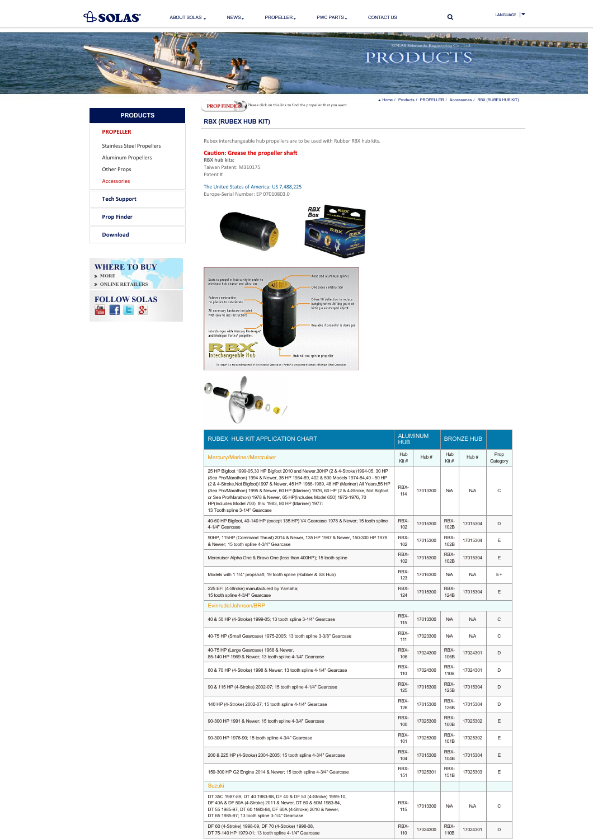<span id="page-0-0"></span>

| RUBEX HUB KIT APPLICATION CHART                                                                                                                                                                                                                                                                                                                                                                                                                                                                                                                     | <b>ALUMINUM</b><br><b>HUB</b> |          | <b>BRONZE HUB</b> |            |                  |
|-----------------------------------------------------------------------------------------------------------------------------------------------------------------------------------------------------------------------------------------------------------------------------------------------------------------------------------------------------------------------------------------------------------------------------------------------------------------------------------------------------------------------------------------------------|-------------------------------|----------|-------------------|------------|------------------|
| Mercury/Mariner/Mercruiser                                                                                                                                                                                                                                                                                                                                                                                                                                                                                                                          | Hub<br>Kit#                   | Hub#     | Hub<br>Kit#       | Hub#       | Prop<br>Category |
| 25 HP Bigfoot 1999-05,30 HP Bigfoot 2010 and Newer, 30HP (2 & 4-Stroke) 1994-05, 30 HP<br>(Sea Pro/Marathon) 1994 & Newer, 35 HP 1984-89, 402 & 500 Models 1974-84,40 - 50 HP<br>(2 & 4-Stroke, Not Bigfoot) 1997 & Newer, 45 HP 1986-1989, 48 HP (Mariner) All Years, 55 HP<br>(Sea Pro/Marathon) 1995 & Newer, 60 HP (Mariner) 1976, 60 HP (2 & 4-Stroke, Not Bigfoot<br>or Sea Pro/Marathon) 1978 & Newer, 65 HP(Includes Model 650) 1972-1976, 70<br>HP(Includes Model 700) thru 1983, 80 HP (Mariner) 1977:<br>13 Tooth spline 3-1/4" Gearcase | RBX-<br>114                   | 17013300 | N/A               | N/A        | Ċ                |
| 40-60 HP Bigfoot, 40-140 HP (except 135 HP) V4 Gearcase 1978 & Newer; 15 tooth spline<br>4-1/4" Gearcase                                                                                                                                                                                                                                                                                                                                                                                                                                            | RBX-<br>102                   | 17015300 | RBX-<br>102B      | 17015304   | D                |
| 90HP, 115HP (Command Thrust) 2014 & Newer, 135 HP 1987 & Newer, 150-300 HP 1978<br>& Newer; 15 tooth spline 4-3/4" Gearcase                                                                                                                                                                                                                                                                                                                                                                                                                         | RBX-<br>102                   | 17015300 | RBX-<br>102B      | 17015304   | E                |
| Mercruiser Alpha One & Bravo One (less than 400HP); 15 tooth spline                                                                                                                                                                                                                                                                                                                                                                                                                                                                                 | RBX-<br>102                   | 17015300 | RBX-<br>102B      | 17015304   | E                |
| Models with 1 1/4" propshaft; 19 tooth spline (Rubber & SS Hub)                                                                                                                                                                                                                                                                                                                                                                                                                                                                                     | RBX-<br>123                   | 17016300 | N/A               | N/A        | E+               |
| 225 EFI (4-Stroke) manufactured by Yamaha;<br>15 tooth spline 4-3/4" Gearcase                                                                                                                                                                                                                                                                                                                                                                                                                                                                       | RBX-<br>124                   | 17015300 | RBX-<br>124B      | 17015304   | E                |
| Evinrude/Johnson/BRP                                                                                                                                                                                                                                                                                                                                                                                                                                                                                                                                |                               |          |                   |            |                  |
| 40 & 50 HP (4-Stroke) 1999-05; 13 tooth spline 3-1/4" Gearcase                                                                                                                                                                                                                                                                                                                                                                                                                                                                                      | RBX-<br>115                   | 17013300 | <b>N/A</b>        | N/A        | C                |
| 40-75 HP (Small Gearcase) 1975-2005; 13 tooth spline 3-3/8" Gearcase                                                                                                                                                                                                                                                                                                                                                                                                                                                                                | RBX-<br>111                   | 17023300 | N/A               | <b>N/A</b> | C                |
| 40-75 HP (Large Gearcase) 1968 & Newer,<br>85-140 HP 1969 & Newer; 13 tooth spline 4-1/4" Gearcase                                                                                                                                                                                                                                                                                                                                                                                                                                                  | RBX-<br>106                   | 17024300 | RBX-<br>106B      | 17024301   | D                |
| 60 & 70 HP (4-Stroke) 1998 & Newer; 13 tooth spline 4-1/4" Gearcase                                                                                                                                                                                                                                                                                                                                                                                                                                                                                 | RBX-<br>110                   | 17024300 | RBX-<br>110B      | 17024301   | D                |
| 90 & 115 HP (4-Stroke) 2002-07; 15 tooth spline 4-1/4" Gearcase                                                                                                                                                                                                                                                                                                                                                                                                                                                                                     | RBX-<br>125                   | 17015300 | RBX-<br>125B      | 17015304   | D                |
| 140 HP (4-Stroke) 2002-07; 15 tooth spline 4-1/4" Gearcase                                                                                                                                                                                                                                                                                                                                                                                                                                                                                          | RBX-<br>126                   | 17015300 | RBX-<br>126B      | 17015304   | D                |
| 90-300 HP 1991 & Newer; 15 tooth spline 4-3/4" Gearcase                                                                                                                                                                                                                                                                                                                                                                                                                                                                                             | RBX-<br>100                   | 17025300 | RBX-<br>100B      | 17025302   | E                |
| 90-300 HP 1976-90; 15 tooth spline 4-3/4" Gearcase                                                                                                                                                                                                                                                                                                                                                                                                                                                                                                  | RBX-<br>101                   | 17025300 | RBX-<br>101B      | 17025302   | Ε                |
| 200 & 225 HP (4-Stroke) 2004-2005; 15 tooth spline 4-3/4" Gearcase                                                                                                                                                                                                                                                                                                                                                                                                                                                                                  | RBX-<br>104                   | 17015300 | RBX-<br>104B      | 17015304   | Ε                |
| 150-300 HP G2 Engine 2014 & Newer; 15 tooth spline 4-3/4" Gearcase                                                                                                                                                                                                                                                                                                                                                                                                                                                                                  | RBX-<br>151                   | 17025301 | RBX-<br>151B      | 17025303   | Ε                |
| <b>Suzuki</b>                                                                                                                                                                                                                                                                                                                                                                                                                                                                                                                                       |                               |          |                   |            |                  |
| DT 35C 1987-89, DT 40 1983-98, DF 40 & DF 50 (4-Stroke) 1999-10,<br>DF 40A & DF 50A (4-Stroke) 2011 & Newer, DT 50 & 50M 1983-84,<br>DT 55 1985-97, DT 60 1983-84, DF 60A (4-Stroke) 2010 & Newer,<br>DT 65 1985-97; 13 tooth spline 3-1/4" Gearcase                                                                                                                                                                                                                                                                                                | RBX-<br>115                   | 17013300 | N/A               | N/A        | C                |
| DF 60 (4-Stroke) 1998-09, DF 70 (4-Stroke) 1998-08,<br>DT 75-140 HP 1979-01; 13 tooth spline 4-1/4" Gearcase                                                                                                                                                                                                                                                                                                                                                                                                                                        | RBX-<br>110                   | 17024300 | RBX-<br>110B      | 17024301   | D                |